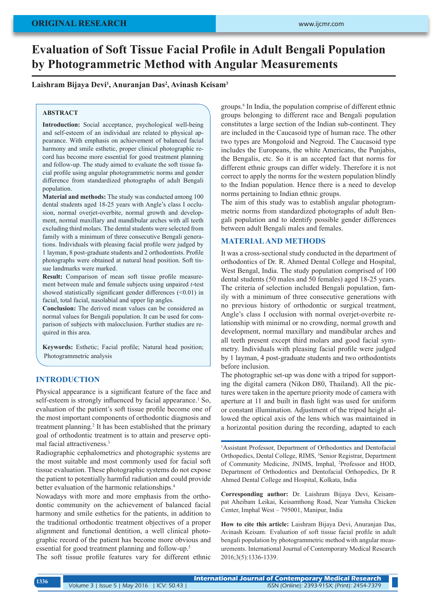# **Evaluation of Soft Tissue Facial Profile in Adult Bengali Population by Photogrammetric Method with Angular Measurements**

## **Laishram Bijaya Devi<sup>1</sup> , Anuranjan Das<sup>2</sup> , Avinash Keisam<sup>3</sup>**

#### **ABSTRACT**

**Introduction:** Social acceptance, psychological well-being and self-esteem of an individual are related to physical appearance. With emphasis on achievement of balanced facial harmony and smile esthetic, proper clinical photographic record has become more essential for good treatment planning and follow-up. The study aimed to evaluate the soft tissue facial profile using angular photogrammetric norms and gender difference from standardized photographs of adult Bengali population.

**Material and methods:** The study was conducted among 100 dental students aged 18-25 years with Angle's class I occlusion, normal overjet-overbite, normal growth and development, normal maxillary and mandibular arches with all teeth excluding third molars. The dental students were selected from family with a minimum of three consecutive Bengali generations. Individuals with pleasing facial profile were judged by 1 layman, 8 post-graduate students and 2 orthodontists. Profile photographs were obtained at natural head position. Soft tissue landmarks were marked.

**Result:** Comparison of mean soft tissue profile measurement between male and female subjects using unpaired *t*-test showed statistically significant gender differences (<0.01) in facial, total facial, nasolabial and upper lip angles.

**Conclusion:** The derived mean values can be considered as normal values for Bengali population. It can be used for comparison of subjects with malocclusion. Further studies are required in this area.

**Keywords:** Esthetic; Facial profile; Natural head position; Photogrammetric analysis

## **INTRODUCTION**

Physical appearance is a significant feature of the face and self-esteem is strongly influenced by facial appearance.<sup>1</sup> So, evaluation of the patient's soft tissue profile become one of the most important components of orthodontic diagnosis and treatment planning.<sup>2</sup> It has been established that the primary goal of orthodontic treatment is to attain and preserve optimal facial attractiveness.3

Radiographic cephalometrics and photographic systems are the most suitable and most commonly used for facial soft tissue evaluation. These photographic systems do not expose the patient to potentially harmful radiation and could provide better evaluation of the harmonic relationships.<sup>4</sup>

Nowadays with more and more emphasis from the orthodontic community on the achievement of balanced facial harmony and smile esthetics for the patients, in addition to the traditional orthodontic treatment objectives of a proper alignment and functional dentition, a well clinical photographic record of the patient has become more obvious and essential for good treatment planning and follow-up.5

The soft tissue profile features vary for different ethnic

groups.6 In India, the population comprise of different ethnic groups belonging to different race and Bengali population constitutes a large section of the Indian sub-continent. They are included in the Caucasoid type of human race. The other two types are Mongoloid and Negroid. The Caucasoid type includes the Europeans, the white Americans, the Punjabis, the Bengalis, etc. So it is an accepted fact that norms for different ethnic groups can differ widely. Therefore it is not correct to apply the norms for the western population blindly to the Indian population. Hence there is a need to develop norms pertaining to Indian ethnic groups.

The aim of this study was to establish angular photogrammetric norms from standardized photographs of adult Bengali population and to identify possible gender differences between adult Bengali males and females.

# **MATERIAL AND METHODS**

It was a cross-sectional study conducted in the department of orthodontics of Dr. R. Ahmed Dental College and Hospital, West Bengal, India. The study population comprised of 100 dental students (50 males and 50 females) aged 18-25 years. The criteria of selection included Bengali population, family with a minimum of three consecutive generations with no previous history of orthodontic or surgical treatment, Angle's class I occlusion with normal overjet-overbite relationship with minimal or no crowding, normal growth and development, normal maxillary and mandibular arches and all teeth present except third molars and good facial symmetry. Individuals with pleasing facial profile were judged by 1 layman, 4 post-graduate students and two orthodontists before inclusion.

The photographic set-up was done with a tripod for supporting the digital camera (Nikon D80, Thailand). All the pictures were taken in the aperture priority mode of camera with aperture at 11 and built in flash light was used for uniform or constant illumination. Adjustment of the tripod height allowed the optical axis of the lens which was maintained in a horizontal position during the recording, adapted to each

1 Assistant Professor, Department of Orthodontics and Dentofacial Orthopedics, Dental College, RIMS, <sup>3</sup>Senior Registrar, Department of Community Medicine, JNIMS, Imphal, <sup>2</sup> Professor and HOD, Department of Orthodontics and Dentofacial Orthopedics, Dr R Ahmed Dental College and Hospital, Kolkata, India

**Corresponding author:** Dr. Laishram Bijaya Devi, Keisampat Aheibam Leikai, Keisamthong Road, Near Yumsha Chicken Center, Imphal West – 795001, Manipur, India

**How to cite this article:** Laishram Bijaya Devi, Anuranjan Das, Avinash Keisam.. Evaluation of soft tissue facial profile in adult bengali population by photogrammetric method with angular measurements. International Journal of Contemporary Medical Research 2016;3(5):1336-1339.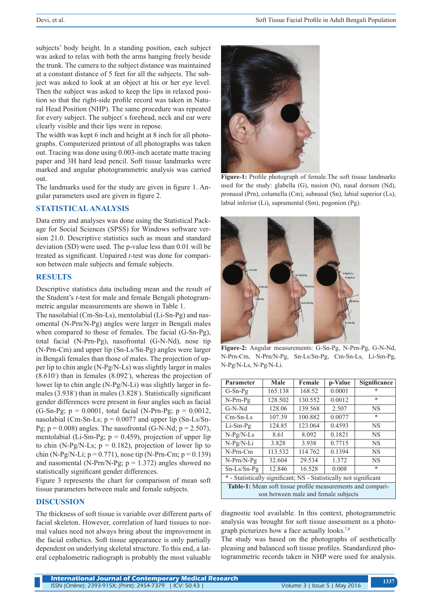subjects' body height. In a standing position, each subject was asked to relax with both the arms hanging freely beside the trunk. The camera to the subject distance was maintained at a constant distance of 5 feet for all the subjects. The subject was asked to look at an object at his or her eye level. Then the subject was asked to keep the lips in relaxed position so that the right-side profile record was taken in Natural Head Position (NHP). The same procedure was repeated for every subject. The subject`s forehead, neck and ear were clearly visible and their lips were in repose.

The width was kept 6 inch and height at 8 inch for all photographs. Computerized printout of all photographs was taken out. Tracing was done using 0.003-inch acetate matte tracing paper and 3H hard lead pencil. Soft tissue landmarks were marked and angular photogrammetric analysis was carried out.

The landmarks used for the study are given in figure 1. Angular parameters used are given in figure 2.

### **STATISTICAL ANALYSIS**

Data entry and analyses was done using the Statistical Package for Social Sciences (SPSS) for Windows software version 21.0. Descriptive statistics such as mean and standard deviation (SD) were used. The p-value less than 0.01 will be treated as significant. Unpaired *t*-test was done for comparison between male subjects and female subjects.

#### **RESULTS**

Descriptive statistics data including mean and the result of the Student's *t*-test for male and female Bengali photogrammetric angular measurements are shown in Table 1.

The nasolabial (Cm-Sn-Ls), mentolabial (Li-Sn-Pg) and nasomental (N-Prn/N-Pg) angles were larger in Bengali males when compared to those of females. The facial (G-Sn-Pg), total facial (N-Prn-Pg), nasofrontal (G-N-Nd), nose tip (N-Prn-Cm) and upper lip (Sn-Ls/Sn-Pg) angles were larger in Bengali females than those of males. The projection of upper lip to chin angle (N-Pg/N-Ls) was slightly larger in males  $(8.610°)$  than in females  $(8.092°)$ , whereas the projection of lower lip to chin angle (N-Pg/N-Li) was slightly larger in females (3.938°) than in males (3.828°). Statistically significant gender differences were present in four angles such as facial (G-Sn-Pg;  $p = 0.0001$ , total facial (N-Prn-Pg;  $p = 0.0012$ , nasolabial (Cm-Sn-Ls;  $p = 0.0077$  and upper lip (Sn-Ls/Sn-Pg;  $p = 0.008$ ) angles. The nasofrontal (G-N-Nd;  $p = 2.507$ ), mentolabial (Li-Sm-Pg;  $p = 0.459$ ), projection of upper lip to chin (N-Pg/N-Ls;  $p = 0.182$ ), projection of lower lip to chin (N-Pg/N-Li;  $p = 0.771$ ), nose tip (N-Prn-Cm;  $p = 0.139$ ) and nasomental (N-Prn/N-Pg;  $p = 1.372$ ) angles showed no statistically significant gender differences.

Figure 3 represents the chart for comparison of mean soft tissue parameters between male and female subjects.

#### **DISCUSSION**

The thickness of soft tissue is variable over different parts of facial skeleton. However, correlation of hard tissues to normal values need not always bring about the improvement in the facial esthetics. Soft tissue appearance is only partially dependent on underlying skeletal structure. To this end, a lateral cephalometric radiograph is probably the most valuable



**Figure-1:** Profile photograph of female.The soft tissue landmarks used for the study: glabella (G), nasion (N), nasal dorsum (Nd), pronasal (Prn), columella (Cm), subnasal (Sn), labial superior (Ls), labial inferior (Li), supramental (Sm), pogonion (Pg).



**Figure-2:** Angular measurements: G-Sn-Pg, N-Prn-Pg, G-N-Nd, N-Prn-Cm, N-Prn/N-Pg, Sn-Ls/Sn-Pg, Cm-Sn-Ls, Li-Sm-Pg, N-Pg/N-Ls, N-Pg/N-Li.

| Parameter                                                                                           | Male    | Female  | p-Value | <b>Significance</b> |
|-----------------------------------------------------------------------------------------------------|---------|---------|---------|---------------------|
| $G-Sn-Pg$                                                                                           | 165.138 | 168.52  | 0.0001  | *                   |
| $N-Prn-Pg$                                                                                          | 128.502 | 130.552 | 0.0012  | $\ast$              |
| $G-N-Nd$                                                                                            | 128.06  | 139.568 | 2.507   | <b>NS</b>           |
| $Cm-Sn-Ls$                                                                                          | 107.39  | 100.882 | 0.0077  | $\ast$              |
| $Li-Sm-Pg$                                                                                          | 124.85  | 123.064 | 0.4593  | <b>NS</b>           |
| $N-Pg/N-LS$                                                                                         | 8.61    | 8.092   | 0.1821  | <b>NS</b>           |
| N-Pg/N-Li                                                                                           | 3.828   | 3.938   | 0.7715  | <b>NS</b>           |
| $N-Prn-Cm$                                                                                          | 113.532 | 114.762 | 0.1394  | <b>NS</b>           |
| $N-Prn/N-Pg$                                                                                        | 32.604  | 29.534  | 1.372   | <b>NS</b>           |
| $Sn-Ls/Sn-Pg$                                                                                       | 12.846  | 16.528  | 0.008   | $\ast$              |
| * - Statistically significant; NS - Statistically not significant                                   |         |         |         |                     |
| Table-1: Mean soft tissue profile measurements and compari-<br>son between male and female subjects |         |         |         |                     |

diagnostic tool available. In this context, photogrammetric analysis was brought for soft tissue assessment as a photograph picturizes how a face actually looks.7,8

The study was based on the photographs of aesthetically pleasing and balanced soft tissue profiles. Standardized photogrammetric records taken in NHP were used for analysis.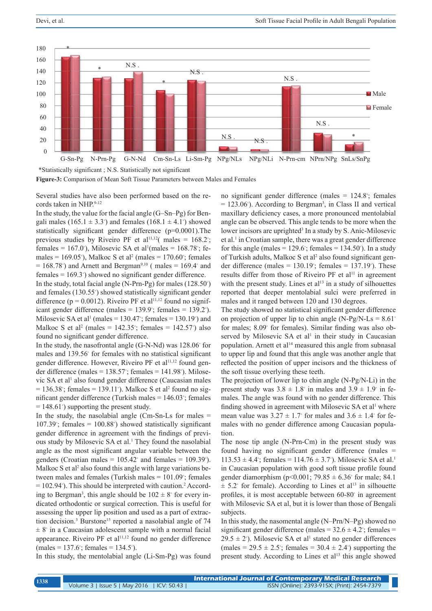

**Figure-3:** Comparison of Mean Soft Tissue Parameters between Males and Females

Several studies have also been performed based on the records taken in NHP.9-12

In the study, the value for the facial angle (G–Sn–Pg) for Bengali males (165.1  $\pm$  3.3<sup>°</sup>) and females (168.1  $\pm$  4.1<sup>°</sup>) showed statistically significant gender difference (p=0.0001).The previous studies by Riveiro PF et al<sup>11,12</sup> $\text{( males = 168.2°)}$ females = 167.0<sup>°</sup>), Milosevic SA et al<sup>1</sup>(males = 168.78<sup>°</sup>; females =  $169.05^{\circ}$ ), Malkoc S et al<sup>2</sup> (males =  $170.60^{\circ}$ ; females  $= 168.78°$ ) and Arnett and Bergman<sup>9,10</sup> (males  $= 169.4°$  and females = 169.3◦ ) showed no significant gender difference.

In the study, total facial angle (N-Prn-Pg) for males (128.50<sup>°</sup>) and females (130.55◦ ) showed statistically significant gender difference ( $p = 0.0012$ ). Riveiro PF et al<sup>11,12</sup> found no significant gender difference (males =  $139.9^\circ$ ; females =  $139.2^\circ$ ). Milosevic SA et al<sup>1</sup> (males =  $130.47^{\circ}$ ; females =  $130.19^{\circ}$ ) and Malkoc S et al<sup>2</sup> (males =  $142.35^{\circ}$ ; females =  $142.57^{\circ}$ ) also found no significant gender difference.

In the study, the nasofrontal angle (G-N-Nd) was 128.06◦ for males and 139.56◦ for females with no statistical significant gender difference. However, Riveiro PF et al<sup>11,12</sup> found gender difference (males =  $138.57^\circ$ ; females =  $141.98^\circ$ ). Milosevic SA et al<sup>1</sup> also found gender difference (Caucasian males  $= 136.38^{\circ}$ ; females  $= 139.11^{\circ}$ ). Malkoc S et al<sup>2</sup> found no significant gender difference (Turkish males = 146.03◦ ; females = 148.61◦ ) supporting the present study.

In the study, the nasolabial angle  $(Cm-Sn-Ls)$  for males  $=$  $107.39^\circ$ ; females =  $100.88^\circ$ ) showed statistically significant gender difference in agreement with the findings of previous study by Milosevic SA et al.<sup>1</sup> They found the nasolabial angle as the most significant angular variable between the genders (Croatian males =  $105.42°$  and females =  $109.39°$ ). Malkoc S et al<sup>2</sup> also found this angle with large variations between males and females (Turkish males = 101.09◦ ; females = 102.94◦ ). This should be interpreted with caution.<sup>2</sup> According to Bergman<sup>3</sup>, this angle should be  $102 \pm 8^\circ$  for every indicated orthodontic or surgical correction. This is useful for assessing the upper lip position and used as a part of extraction decision.<sup>3</sup> Burstone<sup>15</sup> reported a nasolabial angle of 74  $\pm 8^{\circ}$  in a Caucasian adolescent sample with a normal facial appearance. Riveiro PF et al $11,12$  found no gender difference  $(males = 137.6°; females = 134.5°).$ 

In this study, the mentolabial angle (Li-Sm-Pg) was found

no significant gender difference (males = 124.8◦ ; females  $= 123.06^{\circ}$ ). According to Bergman<sup>3</sup>, in Class II and vertical maxillary deficiency cases, a more pronounced mentolabial angle can be observed. This angle tends to be more when the lower incisors are uprighted<sup>3</sup> In a study by S. Anic-Milosevic et al.<sup>1</sup> in Croatian sample, there was a great gender difference for this angle (males =  $129.6^\circ$ ; females =  $134.50^\circ$ ). In a study of Turkish adults, Malkoc S et al<sup>2</sup> also found significant gender difference (males =  $130.19^{\circ}$ ; females =  $137.19^{\circ}$ ). These results differ from those of Riveiro PF et  $al<sup>11</sup>$  in agreement with the present study. Lines et  $al<sup>13</sup>$  in a study of silhouettes reported that deeper mentolabial sulci were preferred in males and it ranged between 120 and 130 degrees.

The study showed no statistical significant gender difference on projection of upper lip to chin angle (N-Pg/N-Ls =  $8.61^\circ$ ) for males; 8.09◦ for females). Similar finding was also observed by Milosevic SA et al<sup>1</sup> in their study in Caucasian population. Arnett et al<sup>14</sup> measured this angle from subnasal to upper lip and found that this angle was another angle that reflected the position of upper incisors and the thickness of the soft tissue overlying these teeth.

The projection of lower lip to chin angle (N-Pg/N-Li) in the present study was  $3.8 \pm 1.8^\circ$  in males and  $3.9 \pm 1.9^\circ$  in females. The angle was found with no gender difference. This finding showed in agreement with Milosevic SA et al<sup>1</sup> where mean value was  $3.27 \pm 1.7$ ° for males and  $3.6 \pm 1.4$ ° for females with no gender difference among Caucasian population.

The nose tip angle (N-Prn-Cm) in the present study was found having no significant gender difference (males =  $113.53 \pm 4.4$ <sup>°</sup>; females =  $114.76 \pm 3.7$ <sup>°</sup>). Milosevic SA et al.<sup>1</sup> in Caucasian population with good soft tissue profile found gender diamorphism (p<0.001; 79.85  $\pm$  6.36 $\degree$  for male; 84.1  $\pm$  5.2 $\degree$  for female). According to Lines et al<sup>13</sup> in silhouette profiles, it is most acceptable between 60-80◦ in agreement with Milosevic SA et al, but it is lower than those of Bengali subjects.

In this study, the nasomental angle (N–Prn/N–Pg) showed no significant gender difference (males =  $32.6 \pm 4.2$ °; females =  $29.5 \pm 2^{\circ}$ ). Milosevic SA et al<sup>1</sup> stated no gender differences  $(males = 29.5 \pm 2.5^\circ; females = 30.4 \pm 2.4^\circ)$  supporting the present study. According to Lines et al<sup>13</sup> this angle showed